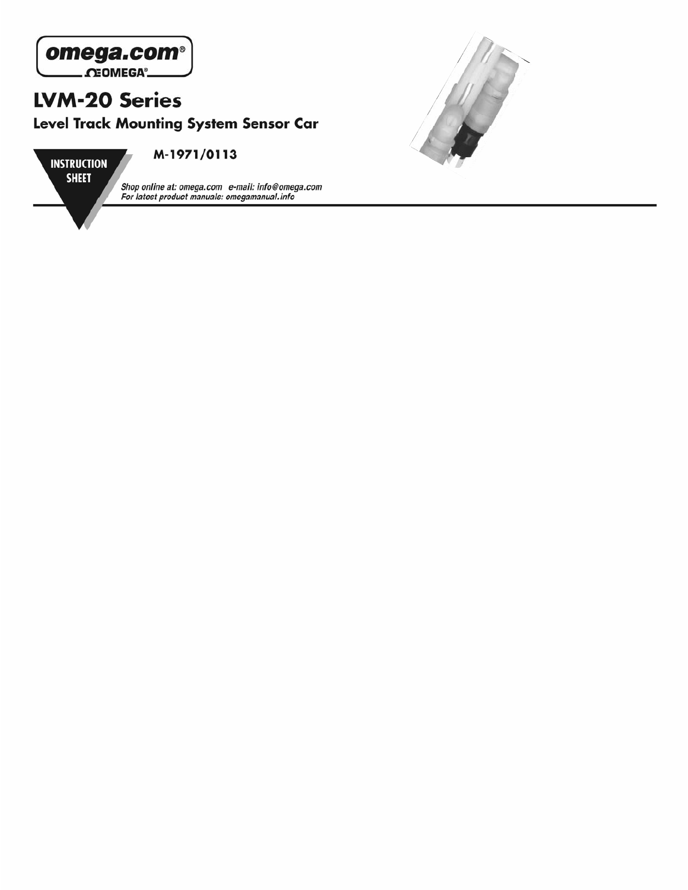



Shop online at: omega.com e-mail: info@omega.com<br>For latest product manuals: omegamanual.info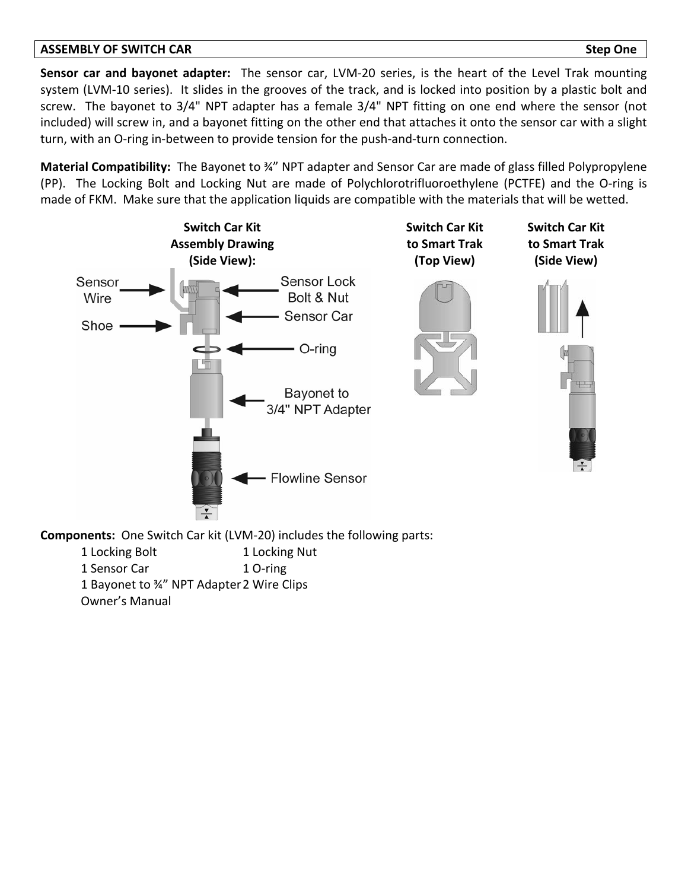#### **ASSEMBLY OF SWITCH CAR Step One**

**Sensor car and bayonet adapter:**  The sensor car, LVM‐20 series, is the heart of the Level Trak mounting system (LVM-10 series). It slides in the grooves of the track, and is locked into position by a plastic bolt and screw. The bayonet to 3/4" NPT adapter has a female 3/4" NPT fitting on one end where the sensor (not included) will screw in, and a bayonet fitting on the other end that attaches it onto the sensor car with a slight turn, with an O-ring in-between to provide tension for the push-and-turn connection.

**Material Compatibility:** The Bayonet to <sup>34"</sup> NPT adapter and Sensor Car are made of glass filled Polypropylene (PP). The Locking Bolt and Locking Nut are made of Polychlorotrifluoroethylene (PCTFE) and the O‐ring is made of FKM. Make sure that the application liquids are compatible with the materials that will be wetted.



**Components:** One Switch Car kit (LVM-20) includes the following parts:

1 Locking Bolt 1 Locking Nut 1 Sensor Car 1 O-ring 1 Bayonet to ¾" NPT Adapter2 Wire Clips Owner's Manual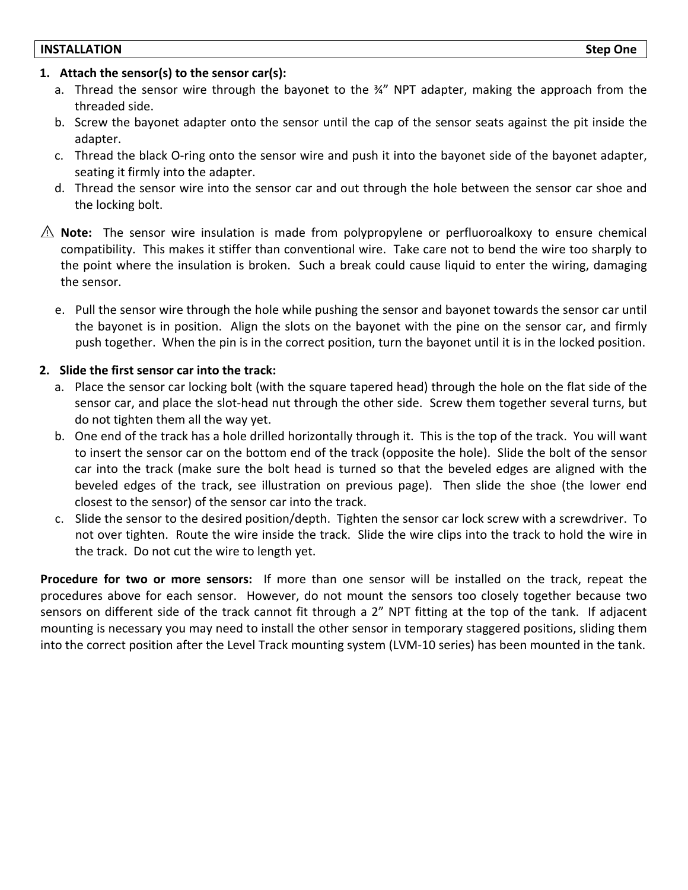## **1. Attach the sensor(s) to the sensor car(s):**

- a. Thread the sensor wire through the bayonet to the ¾" NPT adapter, making the approach from the threaded side.
- b. Screw the bayonet adapter onto the sensor until the cap of the sensor seats against the pit inside the adapter.
- c. Thread the black O‐ring onto the sensor wire and push it into the bayonet side of the bayonet adapter, seating it firmly into the adapter.
- d. Thread the sensor wire into the sensor car and out through the hole between the sensor car shoe and the locking bolt.
- **Note:** The sensor wire insulation is made from polypropylene or perfluoroalkoxy to ensure chemical compatibility. This makes it stiffer than conventional wire. Take care not to bend the wire too sharply to the point where the insulation is broken. Such a break could cause liquid to enter the wiring, damaging the sensor.
	- e. Pull the sensor wire through the hole while pushing the sensor and bayonet towards the sensor car until the bayonet is in position. Align the slots on the bayonet with the pine on the sensor car, and firmly push together. When the pin is in the correct position, turn the bayonet until it is in the locked position.

## **2. Slide the first sensor car into the track:**

- a. Place the sensor car locking bolt (with the square tapered head) through the hole on the flat side of the sensor car, and place the slot-head nut through the other side. Screw them together several turns, but do not tighten them all the way yet.
- b. One end of the track has a hole drilled horizontally through it. This is the top of the track. You will want to insert the sensor car on the bottom end of the track (opposite the hole). Slide the bolt of the sensor car into the track (make sure the bolt head is turned so that the beveled edges are aligned with the beveled edges of the track, see illustration on previous page). Then slide the shoe (the lower end closest to the sensor) of the sensor car into the track.
- c. Slide the sensor to the desired position/depth. Tighten the sensor car lock screw with a screwdriver. To not over tighten. Route the wire inside the track. Slide the wire clips into the track to hold the wire in the track. Do not cut the wire to length yet.

**Procedure for two or more sensors:** If more than one sensor will be installed on the track, repeat the procedures above for each sensor. However, do not mount the sensors too closely together because two sensors on different side of the track cannot fit through a 2" NPT fitting at the top of the tank. If adjacent mounting is necessary you may need to install the other sensor in temporary staggered positions, sliding them into the correct position after the Level Track mounting system (LVM‐10 series) has been mounted in the tank.